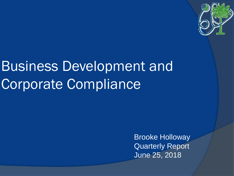

# Business Development and Corporate Compliance

Brooke Holloway Quarterly Report June 25, 2018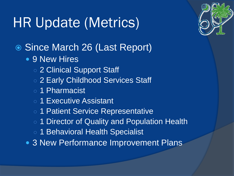# HR Update (Metrics)

- Since March 26 (Last Report)
	- 9 New Hires
		- o 2 Clinical Support Staff
		- 2 Early Childhood Services Staff
		- 1 Pharmacist
		- 1 Executive Assistant
		- 1 Patient Service Representative
		- 1 Director of Quality and Population Health
		- 1 Behavioral Health Specialist
	- 3 New Performance Improvement Plans

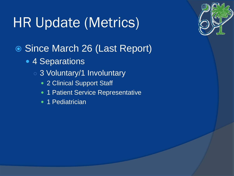# HR Update (Metrics)



- 4 Separations
	- 3 Voluntary/1 Involuntary
		- 2 Clinical Support Staff
		- 1 Patient Service Representative
		- 1 Pediatrician

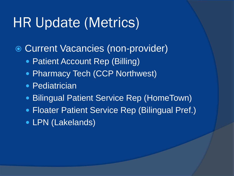### HR Update (Metrics)

Current Vacancies (non-provider)

- Patient Account Rep (Billing)
- Pharmacy Tech (CCP Northwest)
- Pediatrician
- Bilingual Patient Service Rep (HomeTown)
- Floater Patient Service Rep (Bilingual Pref.)
- LPN (Lakelands)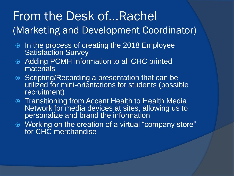### From the Desk of…Rachel (Marketing and Development Coordinator)

- In the process of creating the 2018 Employee Satisfaction Survey
- Adding PCMH information to all CHC printed materials
- **Scripting/Recording a presentation that can be** utilized for mini-orientations for students (possible recruitment)
- **Transitioning from Accent Health to Health Media** Network for media devices at sites, allowing us to personalize and brand the information
- Working on the creation of a virtual "company store" for CHC merchandise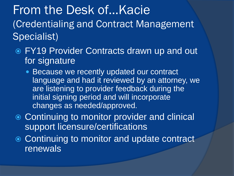From the Desk of…Kacie (Credentialing and Contract Management Specialist)

- FY19 Provider Contracts drawn up and out for signature
	- Because we recently updated our contract language and had it reviewed by an attorney, we are listening to provider feedback during the initial signing period and will incorporate changes as needed/approved.
- **Continuing to monitor provider and clinical** support licensure/certifications
- **Continuing to monitor and update contract renewals**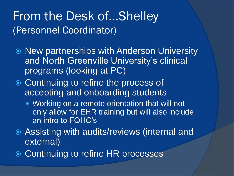#### From the Desk of…Shelley (Personnel Coordinator)

- New partnerships with Anderson University and North Greenville University's clinical programs (looking at PC)
- **Continuing to refine the process of** accepting and onboarding students
	- Working on a remote orientation that will not only allow for EHR training but will also include an intro to FQHC's
- Assisting with audits/reviews (internal and external)
- **Continuing to refine HR processes**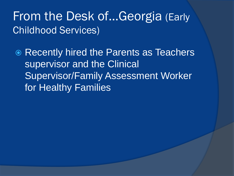#### From the Desk of…Georgia (Early Childhood Services)

 Recently hired the Parents as Teachers supervisor and the Clinical Supervisor/Family Assessment Worker for Healthy Families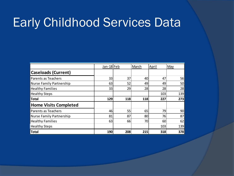### Early Childhood Services Data

|                                 | Jan-18 Feb |     | March | April | May |
|---------------------------------|------------|-----|-------|-------|-----|
| <b>Caseloads (Current)</b>      |            |     |       |       |     |
| <b>Parents as Teachers</b>      | 33         | 37  | 40    | 47    | 56  |
| <b>Nurse Family Partnership</b> | 63         | 52  | 49    | 49    | 50  |
| <b>Healthy Families</b>         | 33         | 29  | 28    | 28    | 28  |
| <b>Healthy Steps</b>            |            |     |       | 103   | 139 |
| <b>Total</b>                    | 129        | 118 | 118   | 227   | 273 |
| <b>Home Visits Completed</b>    |            |     |       |       |     |
| Parents as Teachers             | 46         | 55  | 65    | 79    | 90  |
| <b>Nurse Family Partnership</b> | 81         | 87  | 80    | 76    | 87  |
| <b>Healthy Families</b>         | 63         | 66  | 70    | 60    | 62  |
| <b>Healthy Steps</b>            |            |     |       | 103   | 139 |
| <b>Total</b>                    | 190        | 208 | 215   | 318   | 378 |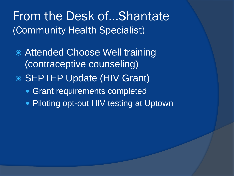#### From the Desk of…Shantate (Community Health Specialist)

- Attended Choose Well training (contraceptive counseling)
- SEPTEP Update (HIV Grant)
	- Grant requirements completed
	- **Piloting opt-out HIV testing at Uptown**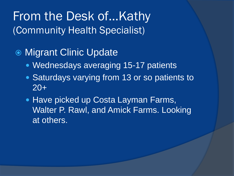#### From the Desk of…Kathy (Community Health Specialist)

#### ● Migrant Clinic Update

- **Wednesdays averaging 15-17 patients**
- **Saturdays varying from 13 or so patients to** 20+
- Have picked up Costa Layman Farms, Walter P. Rawl, and Amick Farms. Looking at others.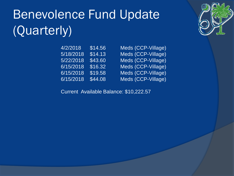# Benevolence Fund Update (Quarterly)

| 4/2/2018  | \$14.56 |
|-----------|---------|
| 5/18/2018 | \$14.13 |
| 5/22/2018 | \$43.60 |
| 6/15/2018 | \$16.32 |
| 6/15/2018 | \$19.58 |
| 6/15/2018 | \$44.08 |

Meds (CCP-Village) Meds (CCP-Village) Meds (CCP-Village) Meds (CCP-Village) Meds (CCP-Village) Meds (CCP-Village)

Current Available Balance: \$10,222.57

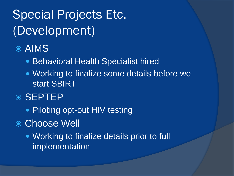### Special Projects Etc. (Development)

#### AIMS

- Behavioral Health Specialist hired
- Working to finalize some details before we start SBIRT
- **◎ SEPTEP** 
	- Piloting opt-out HIV testing
- Choose Well
	- Working to finalize details prior to full implementation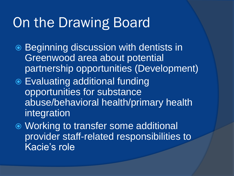### On the Drawing Board

- **Beginning discussion with dentists in** Greenwood area about potential partnership opportunities (Development)
- Evaluating additional funding opportunities for substance abuse/behavioral health/primary health integration

 Working to transfer some additional provider staff-related responsibilities to Kacie's role